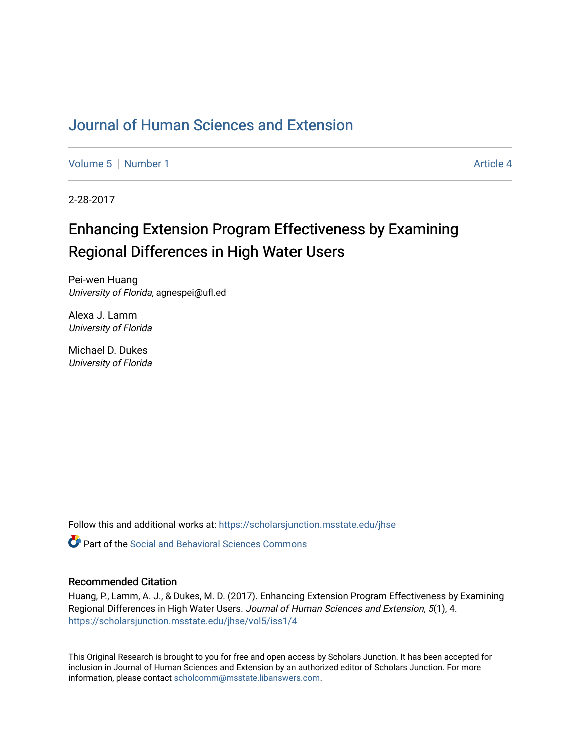## [Journal of Human Sciences and Extension](https://scholarsjunction.msstate.edu/jhse)

[Volume 5](https://scholarsjunction.msstate.edu/jhse/vol5) | [Number 1](https://scholarsjunction.msstate.edu/jhse/vol5/iss1) Article 4

2-28-2017

# Enhancing Extension Program Effectiveness by Examining Regional Differences in High Water Users

Pei-wen Huang University of Florida, agnespei@ufl.ed

Alexa J. Lamm University of Florida

Michael D. Dukes University of Florida

Follow this and additional works at: [https://scholarsjunction.msstate.edu/jhse](https://scholarsjunction.msstate.edu/jhse?utm_source=scholarsjunction.msstate.edu%2Fjhse%2Fvol5%2Fiss1%2F4&utm_medium=PDF&utm_campaign=PDFCoverPages)

**P** Part of the Social and Behavioral Sciences Commons

#### Recommended Citation

Huang, P., Lamm, A. J., & Dukes, M. D. (2017). Enhancing Extension Program Effectiveness by Examining Regional Differences in High Water Users. Journal of Human Sciences and Extension, 5(1), 4. [https://scholarsjunction.msstate.edu/jhse/vol5/iss1/4](https://scholarsjunction.msstate.edu/jhse/vol5/iss1/4?utm_source=scholarsjunction.msstate.edu%2Fjhse%2Fvol5%2Fiss1%2F4&utm_medium=PDF&utm_campaign=PDFCoverPages)

This Original Research is brought to you for free and open access by Scholars Junction. It has been accepted for inclusion in Journal of Human Sciences and Extension by an authorized editor of Scholars Junction. For more information, please contact [scholcomm@msstate.libanswers.com](mailto:scholcomm@msstate.libanswers.com).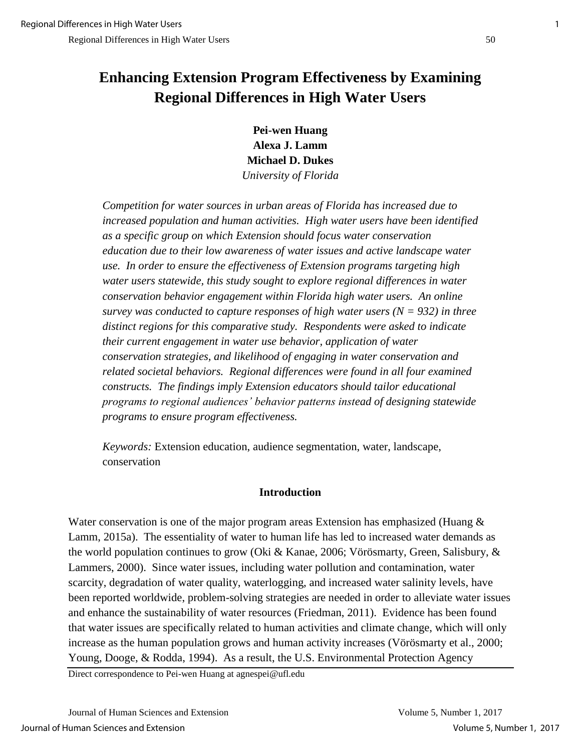# **Enhancing Extension Program Effectiveness by Examining Regional Differences in High Water Users**

**Pei-wen Huang Alexa J. Lamm Michael D. Dukes** *University of Florida*

*Competition for water sources in urban areas of Florida has increased due to increased population and human activities. High water users have been identified as a specific group on which Extension should focus water conservation education due to their low awareness of water issues and active landscape water use. In order to ensure the effectiveness of Extension programs targeting high*  water users statewide, this study sought to explore regional differences in water *conservation behavior engagement within Florida high water users. An online survey was conducted to capture responses of high water users (N = 932) in three distinct regions for this comparative study. Respondents were asked to indicate their current engagement in water use behavior, application of water conservation strategies, and likelihood of engaging in water conservation and related societal behaviors. Regional differences were found in all four examined constructs. The findings imply Extension educators should tailor educational programs to regional audiences' behavior patterns instead of designing statewide programs to ensure program effectiveness.* 

*Keywords:* Extension education, audience segmentation, water, landscape, conservation

#### **Introduction**

Water conservation is one of the major program areas Extension has emphasized (Huang & Lamm, 2015a). The essentiality of water to human life has led to increased water demands as the world population continues to grow (Oki & Kanae, 2006; Vörösmarty, Green, Salisbury, & Lammers, 2000). Since water issues, including water pollution and contamination, water scarcity, degradation of water quality, waterlogging, and increased water salinity levels, have been reported worldwide, problem-solving strategies are needed in order to alleviate water issues and enhance the sustainability of water resources (Friedman, 2011). Evidence has been found that water issues are specifically related to human activities and climate change, which will only increase as the human population grows and human activity increases (Vörösmarty et al., 2000; Young, Dooge, & Rodda, 1994). As a result, the U.S. Environmental Protection Agency

Direct correspondence to Pei-wen Huang at agnespei@ufl.edu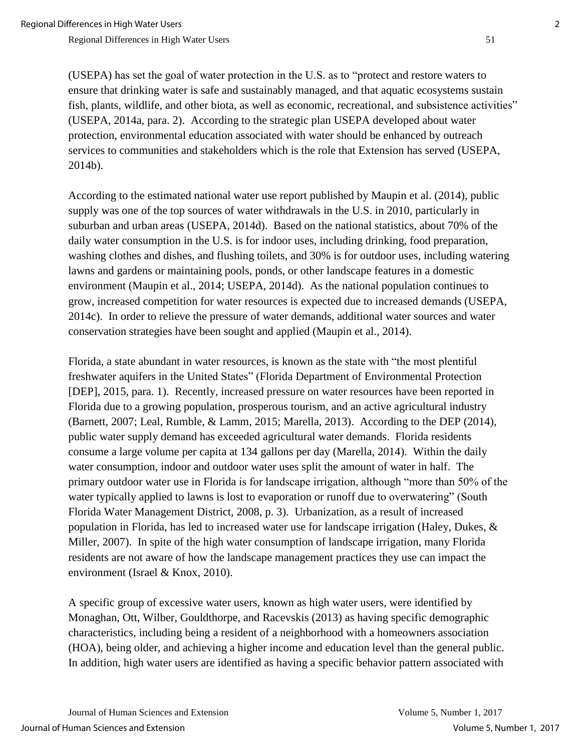(USEPA) has set the goal of water protection in the U.S. as to "protect and restore waters to ensure that drinking water is safe and sustainably managed, and that aquatic ecosystems sustain fish, plants, wildlife, and other biota, as well as economic, recreational, and subsistence activities" (USEPA, 2014a, para. 2). According to the strategic plan USEPA developed about water protection, environmental education associated with water should be enhanced by outreach services to communities and stakeholders which is the role that Extension has served (USEPA, 2014b).

According to the estimated national water use report published by Maupin et al. (2014), public supply was one of the top sources of water withdrawals in the U.S. in 2010, particularly in suburban and urban areas (USEPA, 2014d). Based on the national statistics, about 70% of the daily water consumption in the U.S. is for indoor uses, including drinking, food preparation, washing clothes and dishes, and flushing toilets, and 30% is for outdoor uses, including watering lawns and gardens or maintaining pools, ponds, or other landscape features in a domestic environment (Maupin et al., 2014; USEPA, 2014d). As the national population continues to grow, increased competition for water resources is expected due to increased demands (USEPA, 2014c). In order to relieve the pressure of water demands, additional water sources and water conservation strategies have been sought and applied (Maupin et al., 2014).

Florida, a state abundant in water resources, is known as the state with "the most plentiful freshwater aquifers in the United States" (Florida Department of Environmental Protection [DEP], 2015, para. 1). Recently, increased pressure on water resources have been reported in Florida due to a growing population, prosperous tourism, and an active agricultural industry (Barnett, 2007; Leal, Rumble, & Lamm, 2015; Marella, 2013). According to the DEP (2014), public water supply demand has exceeded agricultural water demands. Florida residents consume a large volume per capita at 134 gallons per day (Marella, 2014). Within the daily water consumption, indoor and outdoor water uses split the amount of water in half. The primary outdoor water use in Florida is for landscape irrigation, although "more than 50% of the water typically applied to lawns is lost to evaporation or runoff due to overwatering" (South Florida Water Management District, 2008, p. 3). Urbanization, as a result of increased population in Florida, has led to increased water use for landscape irrigation (Haley, Dukes, & Miller, 2007). In spite of the high water consumption of landscape irrigation, many Florida residents are not aware of how the landscape management practices they use can impact the environment (Israel & Knox, 2010).

A specific group of excessive water users, known as high water users, were identified by Monaghan, Ott, Wilber, Gouldthorpe, and Racevskis (2013) as having specific demographic characteristics, including being a resident of a neighborhood with a homeowners association (HOA), being older, and achieving a higher income and education level than the general public. In addition, high water users are identified as having a specific behavior pattern associated with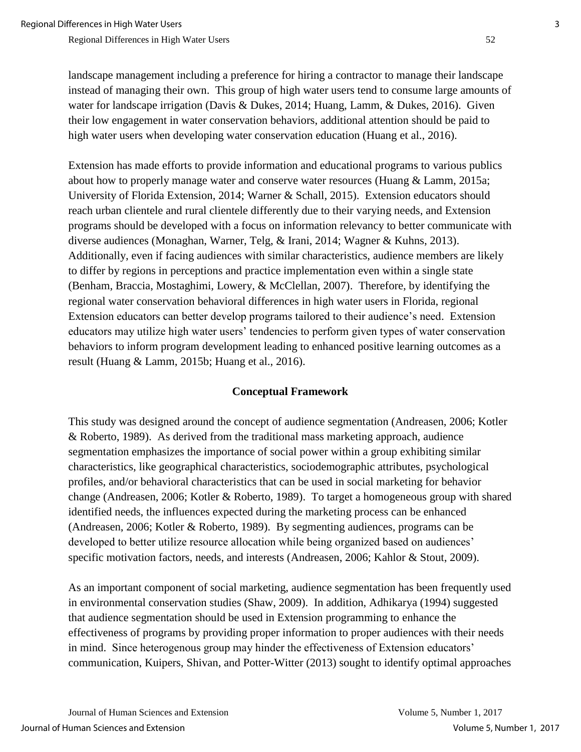landscape management including a preference for hiring a contractor to manage their landscape instead of managing their own. This group of high water users tend to consume large amounts of water for landscape irrigation (Davis & Dukes, 2014; Huang, Lamm, & Dukes, 2016). Given their low engagement in water conservation behaviors, additional attention should be paid to high water users when developing water conservation education (Huang et al., 2016).

Extension has made efforts to provide information and educational programs to various publics about how to properly manage water and conserve water resources (Huang & Lamm, 2015a; University of Florida Extension, 2014; Warner & Schall, 2015). Extension educators should reach urban clientele and rural clientele differently due to their varying needs, and Extension programs should be developed with a focus on information relevancy to better communicate with diverse audiences (Monaghan, Warner, Telg, & Irani, 2014; Wagner & Kuhns, 2013). Additionally, even if facing audiences with similar characteristics, audience members are likely to differ by regions in perceptions and practice implementation even within a single state (Benham, Braccia, Mostaghimi, Lowery, & McClellan, 2007). Therefore, by identifying the regional water conservation behavioral differences in high water users in Florida, regional Extension educators can better develop programs tailored to their audience's need. Extension educators may utilize high water users' tendencies to perform given types of water conservation behaviors to inform program development leading to enhanced positive learning outcomes as a result (Huang & Lamm, 2015b; Huang et al., 2016).

#### **Conceptual Framework**

This study was designed around the concept of audience segmentation (Andreasen, 2006; Kotler & Roberto, 1989). As derived from the traditional mass marketing approach, audience segmentation emphasizes the importance of social power within a group exhibiting similar characteristics, like geographical characteristics, sociodemographic attributes, psychological profiles, and/or behavioral characteristics that can be used in social marketing for behavior change (Andreasen, 2006; Kotler & Roberto, 1989). To target a homogeneous group with shared identified needs, the influences expected during the marketing process can be enhanced (Andreasen, 2006; Kotler & Roberto, 1989). By segmenting audiences, programs can be developed to better utilize resource allocation while being organized based on audiences' specific motivation factors, needs, and interests (Andreasen, 2006; Kahlor & Stout, 2009).

As an important component of social marketing, audience segmentation has been frequently used in environmental conservation studies (Shaw, 2009). In addition, Adhikarya (1994) suggested that audience segmentation should be used in Extension programming to enhance the effectiveness of programs by providing proper information to proper audiences with their needs in mind. Since heterogenous group may hinder the effectiveness of Extension educators' communication, Kuipers, Shivan, and Potter-Witter (2013) sought to identify optimal approaches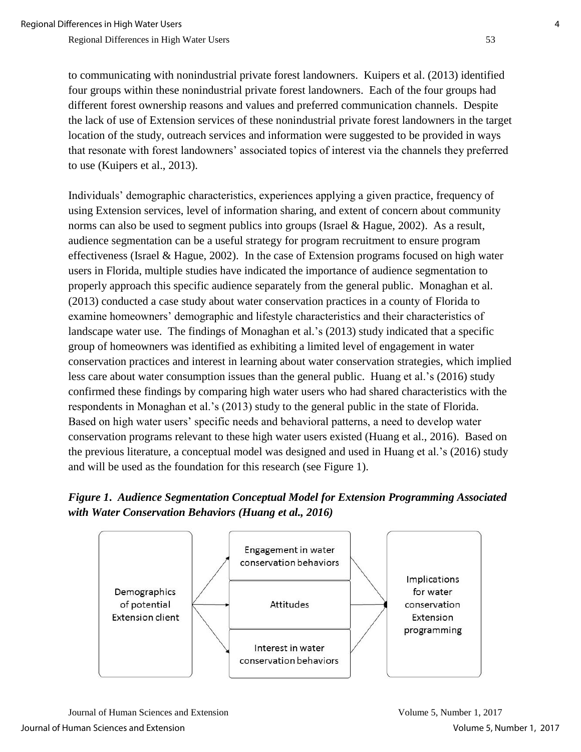to communicating with nonindustrial private forest landowners. Kuipers et al. (2013) identified four groups within these nonindustrial private forest landowners. Each of the four groups had different forest ownership reasons and values and preferred communication channels. Despite the lack of use of Extension services of these nonindustrial private forest landowners in the target location of the study, outreach services and information were suggested to be provided in ways that resonate with forest landowners' associated topics of interest via the channels they preferred to use (Kuipers et al., 2013).

Individuals' demographic characteristics, experiences applying a given practice, frequency of using Extension services, level of information sharing, and extent of concern about community norms can also be used to segment publics into groups (Israel & Hague, 2002). As a result, audience segmentation can be a useful strategy for program recruitment to ensure program effectiveness (Israel & Hague, 2002). In the case of Extension programs focused on high water users in Florida, multiple studies have indicated the importance of audience segmentation to properly approach this specific audience separately from the general public. Monaghan et al. (2013) conducted a case study about water conservation practices in a county of Florida to examine homeowners' demographic and lifestyle characteristics and their characteristics of landscape water use. The findings of Monaghan et al.'s (2013) study indicated that a specific group of homeowners was identified as exhibiting a limited level of engagement in water conservation practices and interest in learning about water conservation strategies, which implied less care about water consumption issues than the general public. Huang et al.'s (2016) study confirmed these findings by comparing high water users who had shared characteristics with the respondents in Monaghan et al.'s (2013) study to the general public in the state of Florida. Based on high water users' specific needs and behavioral patterns, a need to develop water conservation programs relevant to these high water users existed (Huang et al., 2016). Based on the previous literature, a conceptual model was designed and used in Huang et al.'s (2016) study and will be used as the foundation for this research (see Figure 1).

## *Figure 1***.** *Audience Segmentation Conceptual Model for Extension Programming Associated with Water Conservation Behaviors (Huang et al., 2016)*

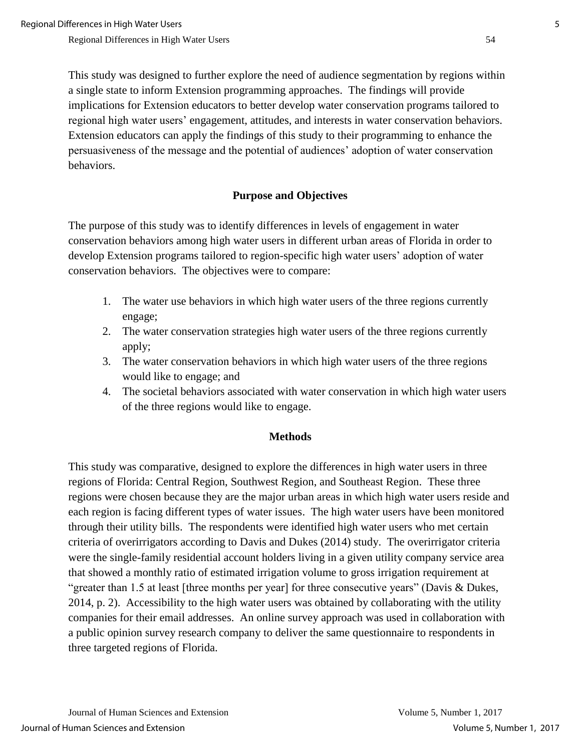This study was designed to further explore the need of audience segmentation by regions within a single state to inform Extension programming approaches. The findings will provide implications for Extension educators to better develop water conservation programs tailored to regional high water users' engagement, attitudes, and interests in water conservation behaviors. Extension educators can apply the findings of this study to their programming to enhance the persuasiveness of the message and the potential of audiences' adoption of water conservation behaviors.

### **Purpose and Objectives**

The purpose of this study was to identify differences in levels of engagement in water conservation behaviors among high water users in different urban areas of Florida in order to develop Extension programs tailored to region-specific high water users' adoption of water conservation behaviors. The objectives were to compare:

- 1. The water use behaviors in which high water users of the three regions currently engage;
- 2. The water conservation strategies high water users of the three regions currently apply;
- 3. The water conservation behaviors in which high water users of the three regions would like to engage; and
- 4. The societal behaviors associated with water conservation in which high water users of the three regions would like to engage.

#### **Methods**

This study was comparative, designed to explore the differences in high water users in three regions of Florida: Central Region, Southwest Region, and Southeast Region. These three regions were chosen because they are the major urban areas in which high water users reside and each region is facing different types of water issues. The high water users have been monitored through their utility bills. The respondents were identified high water users who met certain criteria of overirrigators according to Davis and Dukes (2014) study. The overirrigator criteria were the single-family residential account holders living in a given utility company service area that showed a monthly ratio of estimated irrigation volume to gross irrigation requirement at "greater than 1.5 at least [three months per year] for three consecutive years" (Davis & Dukes, 2014, p. 2). Accessibility to the high water users was obtained by collaborating with the utility companies for their email addresses. An online survey approach was used in collaboration with a public opinion survey research company to deliver the same questionnaire to respondents in three targeted regions of Florida.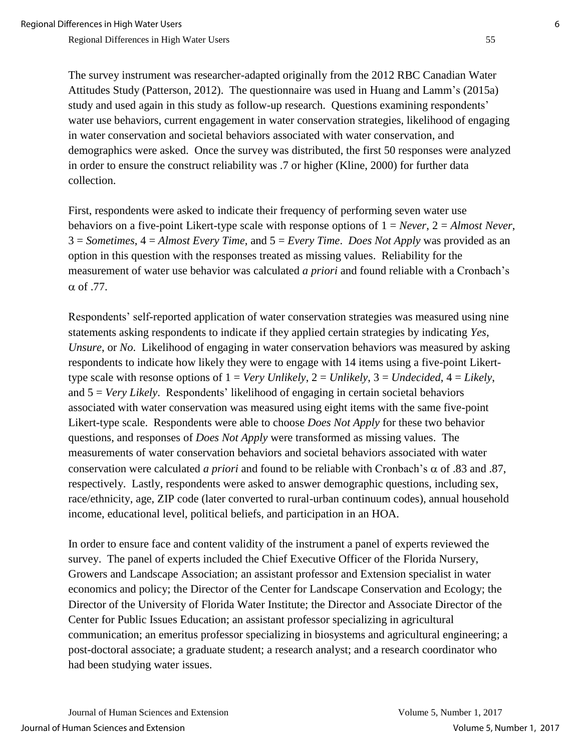The survey instrument was researcher-adapted originally from the 2012 RBC Canadian Water Attitudes Study (Patterson, 2012). The questionnaire was used in Huang and Lamm's (2015a) study and used again in this study as follow-up research. Questions examining respondents' water use behaviors, current engagement in water conservation strategies, likelihood of engaging in water conservation and societal behaviors associated with water conservation, and demographics were asked. Once the survey was distributed, the first 50 responses were analyzed in order to ensure the construct reliability was .7 or higher (Kline, 2000) for further data collection.

First, respondents were asked to indicate their frequency of performing seven water use behaviors on a five-point Likert-type scale with response options of 1 = *Never*, 2 = *Almost Never*, 3 = *Sometimes*, 4 = *Almost Every Time*, and 5 = *Every Time*. *Does Not Apply* was provided as an option in this question with the responses treated as missing values. Reliability for the measurement of water use behavior was calculated *a priori* and found reliable with a Cronbach's  $\alpha$  of .77.

Respondents' self-reported application of water conservation strategies was measured using nine statements asking respondents to indicate if they applied certain strategies by indicating *Yes*, *Unsure*, or *No*. Likelihood of engaging in water conservation behaviors was measured by asking respondents to indicate how likely they were to engage with 14 items using a five-point Likerttype scale with resonse options of 1 = *Very Unlikely*, 2 = *Unlikely*, 3 = *Undecided*, 4 = *Likely*, and 5 = *Very Likely*. Respondents' likelihood of engaging in certain societal behaviors associated with water conservation was measured using eight items with the same five-point Likert-type scale. Respondents were able to choose *Does Not Apply* for these two behavior questions, and responses of *Does Not Apply* were transformed as missing values. The measurements of water conservation behaviors and societal behaviors associated with water conservation were calculated *a priori* and found to be reliable with Cronbach's  $\alpha$  of .83 and .87, respectively. Lastly, respondents were asked to answer demographic questions, including sex, race/ethnicity, age, ZIP code (later converted to rural-urban continuum codes), annual household income, educational level, political beliefs, and participation in an HOA.

In order to ensure face and content validity of the instrument a panel of experts reviewed the survey. The panel of experts included the Chief Executive Officer of the Florida Nursery, Growers and Landscape Association; an assistant professor and Extension specialist in water economics and policy; the Director of the Center for Landscape Conservation and Ecology; the Director of the University of Florida Water Institute; the Director and Associate Director of the Center for Public Issues Education; an assistant professor specializing in agricultural communication; an emeritus professor specializing in biosystems and agricultural engineering; a post-doctoral associate; a graduate student; a research analyst; and a research coordinator who had been studying water issues.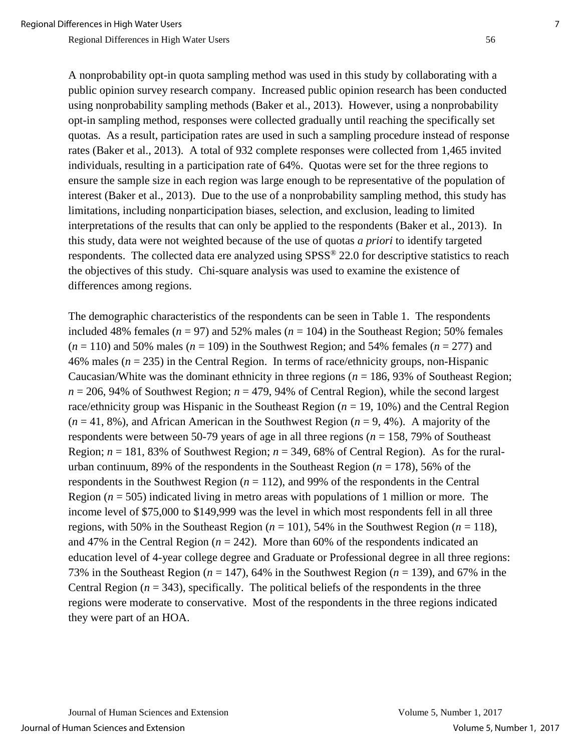A nonprobability opt-in quota sampling method was used in this study by collaborating with a public opinion survey research company. Increased public opinion research has been conducted using nonprobability sampling methods (Baker et al., 2013). However, using a nonprobability opt-in sampling method, responses were collected gradually until reaching the specifically set quotas. As a result, participation rates are used in such a sampling procedure instead of response rates (Baker et al., 2013). A total of 932 complete responses were collected from 1,465 invited individuals, resulting in a participation rate of 64%. Quotas were set for the three regions to ensure the sample size in each region was large enough to be representative of the population of interest (Baker et al., 2013). Due to the use of a nonprobability sampling method, this study has limitations, including nonparticipation biases, selection, and exclusion, leading to limited interpretations of the results that can only be applied to the respondents (Baker et al., 2013). In this study, data were not weighted because of the use of quotas *a priori* to identify targeted respondents. The collected data ere analyzed using SPSS® 22.0 for descriptive statistics to reach the objectives of this study. Chi-square analysis was used to examine the existence of differences among regions.

The demographic characteristics of the respondents can be seen in Table 1. The respondents included 48% females ( $n = 97$ ) and 52% males ( $n = 104$ ) in the Southeast Region; 50% females  $(n = 110)$  and 50% males  $(n = 109)$  in the Southwest Region; and 54% females  $(n = 277)$  and 46% males (*n* = 235) in the Central Region. In terms of race/ethnicity groups, non-Hispanic Caucasian/White was the dominant ethnicity in three regions ( $n = 186, 93\%$  of Southeast Region;  $n = 206$ , 94% of Southwest Region;  $n = 479$ , 94% of Central Region), while the second largest race/ethnicity group was Hispanic in the Southeast Region (*n* = 19, 10%) and the Central Region (*n* = 41, 8%), and African American in the Southwest Region (*n* = 9, 4%). A majority of the respondents were between 50-79 years of age in all three regions (*n* = 158, 79% of Southeast Region;  $n = 181, 83\%$  of Southwest Region;  $n = 349, 68\%$  of Central Region). As for the ruralurban continuum, 89% of the respondents in the Southeast Region  $(n = 178)$ , 56% of the respondents in the Southwest Region  $(n = 112)$ , and 99% of the respondents in the Central Region  $(n = 505)$  indicated living in metro areas with populations of 1 million or more. The income level of \$75,000 to \$149,999 was the level in which most respondents fell in all three regions, with 50% in the Southeast Region  $(n = 101)$ , 54% in the Southwest Region  $(n = 118)$ , and 47% in the Central Region  $(n = 242)$ . More than 60% of the respondents indicated an education level of 4-year college degree and Graduate or Professional degree in all three regions: 73% in the Southeast Region ( $n = 147$ ), 64% in the Southwest Region ( $n = 139$ ), and 67% in the Central Region  $(n = 343)$ , specifically. The political beliefs of the respondents in the three regions were moderate to conservative. Most of the respondents in the three regions indicated they were part of an HOA.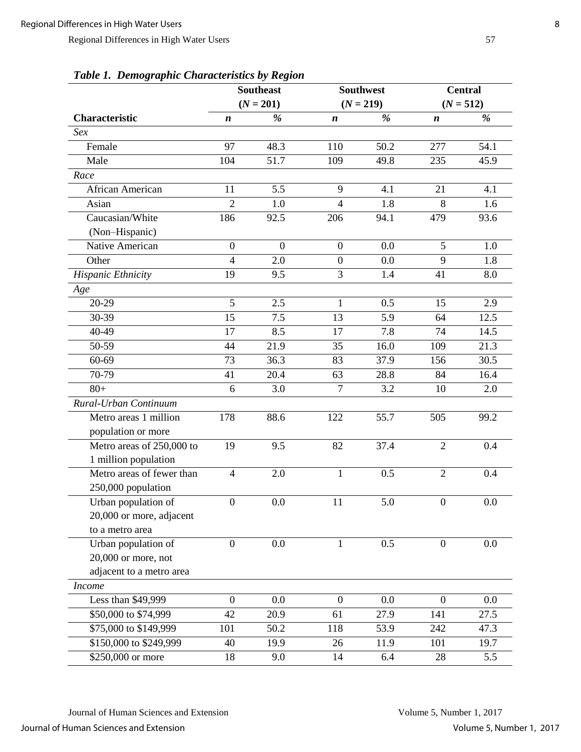|                           | <b>Southeast</b> |                |                  | <b>Southwest</b> | <b>Central</b>   |             |
|---------------------------|------------------|----------------|------------------|------------------|------------------|-------------|
|                           |                  | $(N = 201)$    | $(N = 219)$      |                  |                  | $(N = 512)$ |
| Characteristic            | n                | %              | $\boldsymbol{n}$ | %                | $\boldsymbol{n}$ | %           |
| Sex                       |                  |                |                  |                  |                  |             |
| Female                    | 97               | 48.3           | 110              | 50.2             | 277              | 54.1        |
| Male                      | 104              | 51.7           | 109              | 49.8             | 235              | 45.9        |
| Race                      |                  |                |                  |                  |                  |             |
| African American          | 11               | 5.5            | 9                | 4.1              | 21               | 4.1         |
| Asian                     | $\overline{2}$   | 1.0            | $\overline{4}$   | 1.8              | 8                | 1.6         |
| Caucasian/White           | 186              | 92.5           | 206              | 94.1             | 479              | 93.6        |
| (Non-Hispanic)            |                  |                |                  |                  |                  |             |
| Native American           | $\overline{0}$   | $\overline{0}$ | $\overline{0}$   | 0.0              | 5                | 1.0         |
| Other                     | $\overline{4}$   | 2.0            | $\boldsymbol{0}$ | 0.0              | 9                | 1.8         |
| Hispanic Ethnicity        | 19               | 9.5            | 3                | 1.4              | 41               | 8.0         |
| Age                       |                  |                |                  |                  |                  |             |
| 20-29                     | 5                | 2.5            | $\mathbf{1}$     | 0.5              | 15               | 2.9         |
| 30-39                     | 15               | 7.5            | 13               | 5.9              | 64               | 12.5        |
| 40-49                     | 17               | 8.5            | 17               | 7.8              | 74               | 14.5        |
| 50-59                     | 44               | 21.9           | 35               | 16.0             | 109              | 21.3        |
| 60-69                     | $\overline{73}$  | 36.3           | 83               | 37.9             | 156              | 30.5        |
| 70-79                     | 41               | 20.4           | 63               | 28.8             | 84               | 16.4        |
| $80+$                     | 6                | 3.0            | $\overline{7}$   | 3.2              | 10               | 2.0         |
| Rural-Urban Continuum     |                  |                |                  |                  |                  |             |
| Metro areas 1 million     | 178              | 88.6           | 122              | 55.7             | 505              | 99.2        |
| population or more        |                  |                |                  |                  |                  |             |
| Metro areas of 250,000 to | 19               | 9.5            | 82               | 37.4             | $\overline{2}$   | 0.4         |
| 1 million population      |                  |                |                  |                  |                  |             |
| Metro areas of fewer than | $\overline{4}$   | 2.0            | $\mathbf{1}$     | 0.5              | $\overline{2}$   | 0.4         |
| 250,000 population        |                  |                |                  |                  |                  |             |
| Urban population of       | $\overline{0}$   | 0.0            | 11               | 5.0              | $\overline{0}$   | 0.0         |
| 20,000 or more, adjacent  |                  |                |                  |                  |                  |             |
| to a metro area           |                  |                |                  |                  |                  |             |
| Urban population of       | $\overline{0}$   | 0.0            | 1                | 0.5              | $\overline{0}$   | 0.0         |
| 20,000 or more, not       |                  |                |                  |                  |                  |             |
| adjacent to a metro area  |                  |                |                  |                  |                  |             |
| <b>Income</b>             |                  |                |                  |                  |                  |             |
| Less than \$49,999        | $\boldsymbol{0}$ | 0.0            | $\boldsymbol{0}$ | 0.0              | $\overline{0}$   | 0.0         |
| \$50,000 to \$74,999      | 42               | 20.9           | 61               | 27.9             | 141              | 27.5        |
| \$75,000 to \$149,999     | 101              | 50.2           | 118              | 53.9             | 242              | 47.3        |
| \$150,000 to \$249,999    | 40               | 19.9           | 26               | 11.9             | 101              | 19.7        |
| \$250,000 or more         | 18               | 9.0            | 14               | 6.4              | 28               | 5.5         |

*Table 1. Demographic Characteristics by Region*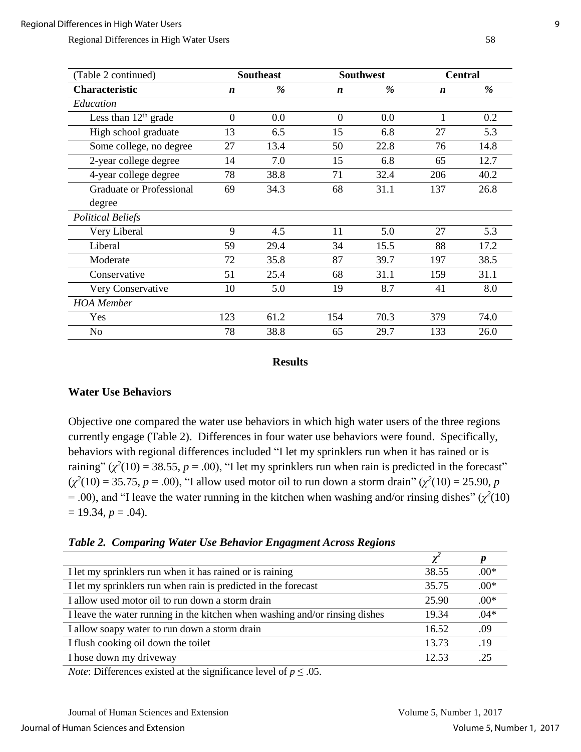| (Table 2 continued)      |                  | <b>Southeast</b><br><b>Southwest</b> |                  | <b>Central</b> |                  |      |
|--------------------------|------------------|--------------------------------------|------------------|----------------|------------------|------|
| <b>Characteristic</b>    | $\boldsymbol{n}$ | %                                    | $\boldsymbol{n}$ | %              | $\boldsymbol{n}$ | %    |
| Education                |                  |                                      |                  |                |                  |      |
| Less than $12th$ grade   | $\overline{0}$   | 0.0                                  | $\overline{0}$   | 0.0            |                  | 0.2  |
| High school graduate     | 13               | 6.5                                  | 15               | 6.8            | 27               | 5.3  |
| Some college, no degree  | 27               | 13.4                                 | 50               | 22.8           | 76               | 14.8 |
| 2-year college degree    | 14               | 7.0                                  | 15               | 6.8            | 65               | 12.7 |
| 4-year college degree    | 78               | 38.8                                 | 71               | 32.4           | 206              | 40.2 |
| Graduate or Professional | 69               | 34.3                                 | 68               | 31.1           | 137              | 26.8 |
| degree                   |                  |                                      |                  |                |                  |      |
| <b>Political Beliefs</b> |                  |                                      |                  |                |                  |      |
| Very Liberal             | 9                | 4.5                                  | 11               | 5.0            | 27               | 5.3  |
| Liberal                  | 59               | 29.4                                 | 34               | 15.5           | 88               | 17.2 |
| Moderate                 | 72               | 35.8                                 | 87               | 39.7           | 197              | 38.5 |
| Conservative             | 51               | 25.4                                 | 68               | 31.1           | 159              | 31.1 |
| Very Conservative        | 10               | 5.0                                  | 19               | 8.7            | 41               | 8.0  |
| <b>HOA</b> Member        |                  |                                      |                  |                |                  |      |
| Yes                      | 123              | 61.2                                 | 154              | 70.3           | 379              | 74.0 |
| N <sub>0</sub>           | 78               | 38.8                                 | 65               | 29.7           | 133              | 26.0 |

#### **Results**

#### **Water Use Behaviors**

Objective one compared the water use behaviors in which high water users of the three regions currently engage (Table 2). Differences in four water use behaviors were found. Specifically, behaviors with regional differences included "I let my sprinklers run when it has rained or is raining"  $(\chi^2(10) = 38.55, p = .00)$ , "I let my sprinklers run when rain is predicted in the forecast"  $(\chi^2(10) = 35.75, p = .00)$ , "I allow used motor oil to run down a storm drain"  $(\chi^2(10) = 25.90, p$  $= .00$ ), and "I leave the water running in the kitchen when washing and/or rinsing dishes" ( $\chi^2(10)$ )  $= 19.34, p = .04$ .

|  |  | Table 2. Comparing Water Use Behavior Engagment Across Regions |
|--|--|----------------------------------------------------------------|
|  |  |                                                                |

| 38.55 | $.00*$ |
|-------|--------|
| 35.75 | $.00*$ |
| 25.90 | $.00*$ |
| 19.34 | $.04*$ |
| 16.52 | .09    |
| 13.73 | .19    |
| 12.53 | 25     |
|       |        |

*Note:* Differences existed at the significance level of  $p \le 0.05$ .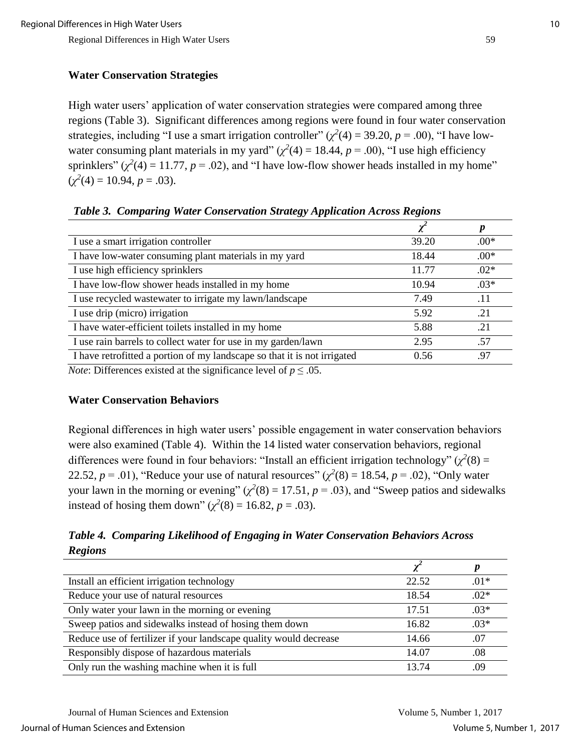#### **Water Conservation Strategies**

High water users' application of water conservation strategies were compared among three regions (Table 3). Significant differences among regions were found in four water conservation strategies, including "I use a smart irrigation controller"  $(\chi^2(4) = 39.20, p = .00)$ , "I have lowwater consuming plant materials in my yard"  $(\chi^2(4) = 18.44, p = .00)$ , "I use high efficiency sprinklers"  $(\chi^2(4) = 11.77, p = .02)$ , and "I have low-flow shower heads installed in my home"  $(\chi^2(4) = 10.94, p = .03).$ 

| I use a smart irrigation controller                                                                         | 39.20 | $.00*$ |
|-------------------------------------------------------------------------------------------------------------|-------|--------|
| I have low-water consuming plant materials in my yard                                                       | 18.44 | $.00*$ |
| I use high efficiency sprinklers                                                                            | 11.77 | $.02*$ |
| I have low-flow shower heads installed in my home                                                           | 10.94 | $.03*$ |
| I use recycled wastewater to irrigate my lawn/landscape                                                     | 7.49  | .11    |
| I use drip (micro) irrigation                                                                               | 5.92  | .21    |
| I have water-efficient toilets installed in my home                                                         | 5.88  | .21    |
| I use rain barrels to collect water for use in my garden/lawn                                               | 2.95  | .57    |
| I have retrofitted a portion of my landscape so that it is not irrigated                                    | 0.56  | .97    |
| $\mathcal{M}$ and $\mathcal{M}$ are the set of $\mathcal{M}$ and $\mathcal{M}$ are the set of $\mathcal{M}$ |       |        |

*Table 3. Comparing Water Conservation Strategy Application Across Regions*

*Note*: Differences existed at the significance level of  $p \le 0.05$ .

#### **Water Conservation Behaviors**

Regional differences in high water users' possible engagement in water conservation behaviors were also examined (Table 4). Within the 14 listed water conservation behaviors, regional differences were found in four behaviors: "Install an efficient irrigation technology" ( $\chi^2(8)$  = 22.52,  $p = .01$ ), "Reduce your use of natural resources"  $(\chi^2(8) = 18.54, p = .02)$ , "Only water your lawn in the morning or evening"  $(\chi^2(8) = 17.51, p = .03)$ , and "Sweep patios and sidewalks" instead of hosing them down"  $(\chi^2(8) = 16.82, p = .03)$ .

*Table 4. Comparing Likelihood of Engaging in Water Conservation Behaviors Across Regions*

| Install an efficient irrigation technology                        | 22.52 | $.01*$ |
|-------------------------------------------------------------------|-------|--------|
| Reduce your use of natural resources                              | 18.54 | $.02*$ |
| Only water your lawn in the morning or evening                    | 17.51 | $.03*$ |
| Sweep patios and sidewalks instead of hosing them down            | 16.82 | $.03*$ |
| Reduce use of fertilizer if your landscape quality would decrease | 14.66 | .07    |
| Responsibly dispose of hazardous materials                        | 14.07 | .08    |
| Only run the washing machine when it is full                      | 13 74 | .09    |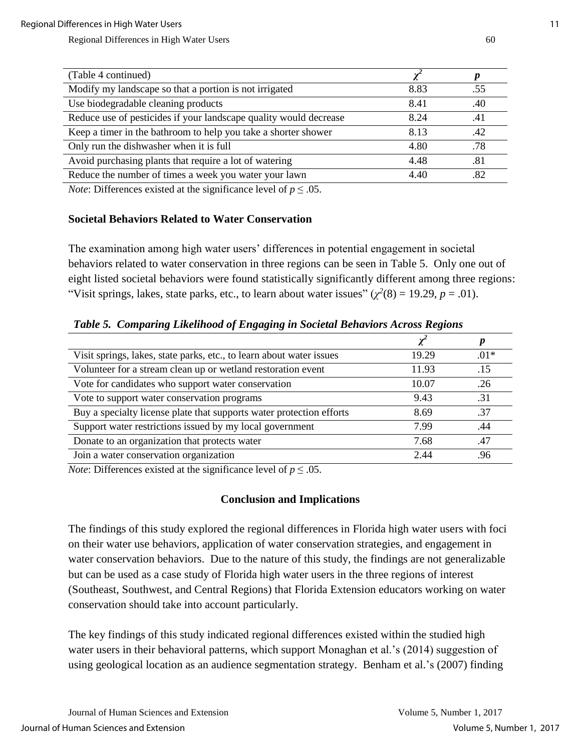| (Table 4 continued)                                               |      |     |
|-------------------------------------------------------------------|------|-----|
| Modify my landscape so that a portion is not irrigated            | 8.83 | .55 |
| Use biodegradable cleaning products                               | 8.41 | .40 |
| Reduce use of pesticides if your landscape quality would decrease | 8.24 | .41 |
| Keep a timer in the bathroom to help you take a shorter shower    | 8.13 | .42 |
| Only run the dishwasher when it is full                           | 4.80 | .78 |
| Avoid purchasing plants that require a lot of watering            | 4.48 | .81 |
| Reduce the number of times a week you water your lawn             | 4.40 | .82 |

*Note:* Differences existed at the significance level of  $p \leq 0.05$ .

#### **Societal Behaviors Related to Water Conservation**

The examination among high water users' differences in potential engagement in societal behaviors related to water conservation in three regions can be seen in Table 5. Only one out of eight listed societal behaviors were found statistically significantly different among three regions: "Visit springs, lakes, state parks, etc., to learn about water issues"  $(\chi^2(8) = 19.29, p = .01)$ .

| Visit springs, lakes, state parks, etc., to learn about water issues | 19.29 | $.01*$ |
|----------------------------------------------------------------------|-------|--------|
| Volunteer for a stream clean up or wetland restoration event         | 11.93 | .15    |
| Vote for candidates who support water conservation                   | 10.07 | .26    |
| Vote to support water conservation programs                          | 9.43  | .31    |
| Buy a specialty license plate that supports water protection efforts | 8.69  | .37    |
| Support water restrictions issued by my local government             | 7.99  | .44    |
| Donate to an organization that protects water                        | 7.68  | .47    |
| Join a water conservation organization                               | 2.44  | .96    |

*Table 5. Comparing Likelihood of Engaging in Societal Behaviors Across Regions*

*Note:* Differences existed at the significance level of  $p \le 0.05$ .

## **Conclusion and Implications**

The findings of this study explored the regional differences in Florida high water users with foci on their water use behaviors, application of water conservation strategies, and engagement in water conservation behaviors. Due to the nature of this study, the findings are not generalizable but can be used as a case study of Florida high water users in the three regions of interest (Southeast, Southwest, and Central Regions) that Florida Extension educators working on water conservation should take into account particularly.

The key findings of this study indicated regional differences existed within the studied high water users in their behavioral patterns, which support Monaghan et al.'s (2014) suggestion of using geological location as an audience segmentation strategy. Benham et al.'s (2007) finding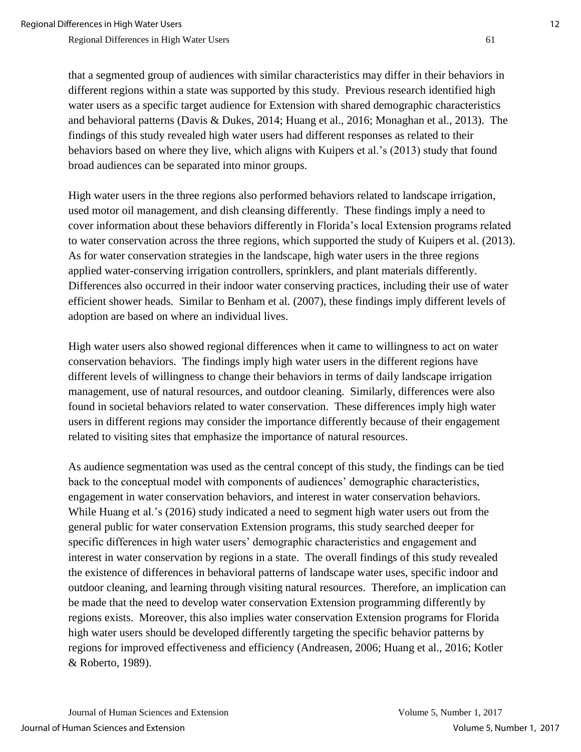that a segmented group of audiences with similar characteristics may differ in their behaviors in different regions within a state was supported by this study. Previous research identified high water users as a specific target audience for Extension with shared demographic characteristics and behavioral patterns (Davis & Dukes, 2014; Huang et al., 2016; Monaghan et al., 2013). The findings of this study revealed high water users had different responses as related to their behaviors based on where they live, which aligns with Kuipers et al.'s (2013) study that found broad audiences can be separated into minor groups.

High water users in the three regions also performed behaviors related to landscape irrigation, used motor oil management, and dish cleansing differently. These findings imply a need to cover information about these behaviors differently in Florida's local Extension programs related to water conservation across the three regions, which supported the study of Kuipers et al. (2013). As for water conservation strategies in the landscape, high water users in the three regions applied water-conserving irrigation controllers, sprinklers, and plant materials differently. Differences also occurred in their indoor water conserving practices, including their use of water efficient shower heads. Similar to Benham et al. (2007), these findings imply different levels of adoption are based on where an individual lives.

High water users also showed regional differences when it came to willingness to act on water conservation behaviors. The findings imply high water users in the different regions have different levels of willingness to change their behaviors in terms of daily landscape irrigation management, use of natural resources, and outdoor cleaning. Similarly, differences were also found in societal behaviors related to water conservation. These differences imply high water users in different regions may consider the importance differently because of their engagement related to visiting sites that emphasize the importance of natural resources.

As audience segmentation was used as the central concept of this study, the findings can be tied back to the conceptual model with components of audiences' demographic characteristics, engagement in water conservation behaviors, and interest in water conservation behaviors. While Huang et al.'s (2016) study indicated a need to segment high water users out from the general public for water conservation Extension programs, this study searched deeper for specific differences in high water users' demographic characteristics and engagement and interest in water conservation by regions in a state. The overall findings of this study revealed the existence of differences in behavioral patterns of landscape water uses, specific indoor and outdoor cleaning, and learning through visiting natural resources. Therefore, an implication can be made that the need to develop water conservation Extension programming differently by regions exists. Moreover, this also implies water conservation Extension programs for Florida high water users should be developed differently targeting the specific behavior patterns by regions for improved effectiveness and efficiency (Andreasen, 2006; Huang et al., 2016; Kotler & Roberto, 1989).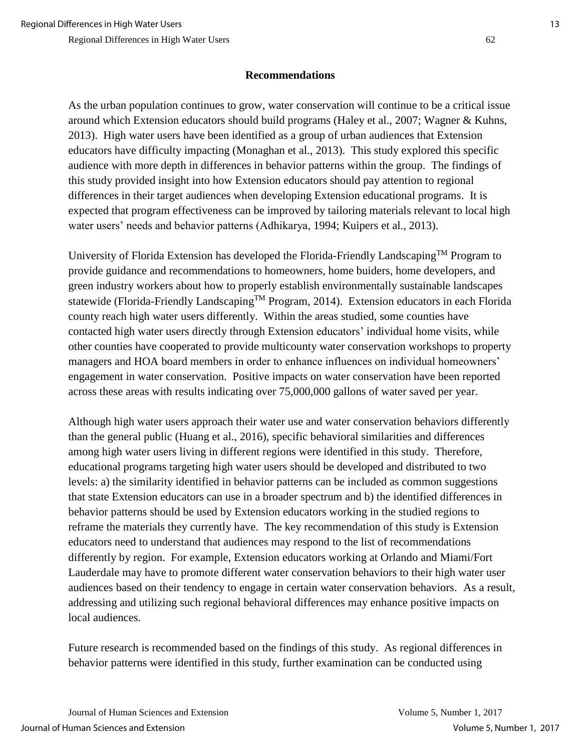#### **Recommendations**

As the urban population continues to grow, water conservation will continue to be a critical issue around which Extension educators should build programs (Haley et al., 2007; Wagner & Kuhns, 2013). High water users have been identified as a group of urban audiences that Extension educators have difficulty impacting (Monaghan et al., 2013). This study explored this specific audience with more depth in differences in behavior patterns within the group. The findings of this study provided insight into how Extension educators should pay attention to regional differences in their target audiences when developing Extension educational programs. It is expected that program effectiveness can be improved by tailoring materials relevant to local high water users' needs and behavior patterns (Adhikarya, 1994; Kuipers et al., 2013).

University of Florida Extension has developed the Florida-Friendly LandscapingTM Program to provide guidance and recommendations to homeowners, home buiders, home developers, and green industry workers about how to properly establish environmentally sustainable landscapes statewide (Florida-Friendly Landscaping<sup>TM</sup> Program, 2014). Extension educators in each Florida county reach high water users differently. Within the areas studied, some counties have contacted high water users directly through Extension educators' individual home visits, while other counties have cooperated to provide multicounty water conservation workshops to property managers and HOA board members in order to enhance influences on individual homeowners' engagement in water conservation. Positive impacts on water conservation have been reported across these areas with results indicating over 75,000,000 gallons of water saved per year.

Although high water users approach their water use and water conservation behaviors differently than the general public (Huang et al., 2016), specific behavioral similarities and differences among high water users living in different regions were identified in this study. Therefore, educational programs targeting high water users should be developed and distributed to two levels: a) the similarity identified in behavior patterns can be included as common suggestions that state Extension educators can use in a broader spectrum and b) the identified differences in behavior patterns should be used by Extension educators working in the studied regions to reframe the materials they currently have. The key recommendation of this study is Extension educators need to understand that audiences may respond to the list of recommendations differently by region. For example, Extension educators working at Orlando and Miami/Fort Lauderdale may have to promote different water conservation behaviors to their high water user audiences based on their tendency to engage in certain water conservation behaviors. As a result, addressing and utilizing such regional behavioral differences may enhance positive impacts on local audiences.

Future research is recommended based on the findings of this study. As regional differences in behavior patterns were identified in this study, further examination can be conducted using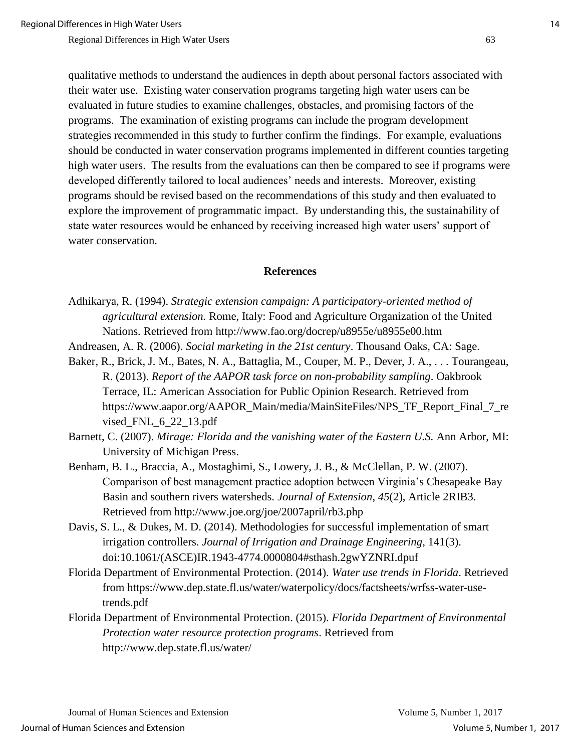qualitative methods to understand the audiences in depth about personal factors associated with their water use. Existing water conservation programs targeting high water users can be evaluated in future studies to examine challenges, obstacles, and promising factors of the programs. The examination of existing programs can include the program development strategies recommended in this study to further confirm the findings. For example, evaluations should be conducted in water conservation programs implemented in different counties targeting high water users. The results from the evaluations can then be compared to see if programs were developed differently tailored to local audiences' needs and interests. Moreover, existing programs should be revised based on the recommendations of this study and then evaluated to explore the improvement of programmatic impact. By understanding this, the sustainability of state water resources would be enhanced by receiving increased high water users' support of water conservation.

#### **References**

- Adhikarya, R. (1994). *Strategic extension campaign: A participatory-oriented method of agricultural extension.* Rome, Italy: Food and Agriculture Organization of the United Nations. Retrieved from http://www.fao.org/docrep/u8955e/u8955e00.htm
- Andreasen, A. R. (2006). *Social marketing in the 21st century*. Thousand Oaks, CA: Sage.
- Baker, R., Brick, J. M., Bates, N. A., Battaglia, M., Couper, M. P., Dever, J. A., . . . Tourangeau, R. (2013). *Report of the AAPOR task force on non-probability sampling*. Oakbrook Terrace, IL: American Association for Public Opinion Research. Retrieved from https://www.aapor.org/AAPOR\_Main/media/MainSiteFiles/NPS\_TF\_Report\_Final\_7\_re vised\_FNL\_6\_22\_13.pdf
- Barnett, C. (2007). *Mirage: Florida and the vanishing water of the Eastern U.S.* Ann Arbor, MI: University of Michigan Press.
- Benham, B. L., Braccia, A., Mostaghimi, S., Lowery, J. B., & McClellan, P. W. (2007). Comparison of best management practice adoption between Virginia's Chesapeake Bay Basin and southern rivers watersheds. *Journal of Extension*, *45*(2), Article 2RIB3. Retrieved from http://www.joe.org/joe/2007april/rb3.php
- Davis, S. L., & Dukes, M. D. (2014). Methodologies for successful implementation of smart irrigation controllers. *Journal of Irrigation and Drainage Engineering,* 141(3). doi:10.1061/(ASCE)IR.1943-4774.0000804#sthash.2gwYZNRI.dpuf
- Florida Department of Environmental Protection. (2014). *Water use trends in Florida*. Retrieved from https://www.dep.state.fl.us/water/waterpolicy/docs/factsheets/wrfss-water-usetrends.pdf
- Florida Department of Environmental Protection. (2015). *Florida Department of Environmental Protection water resource protection programs*. Retrieved from http://www.dep.state.fl.us/water/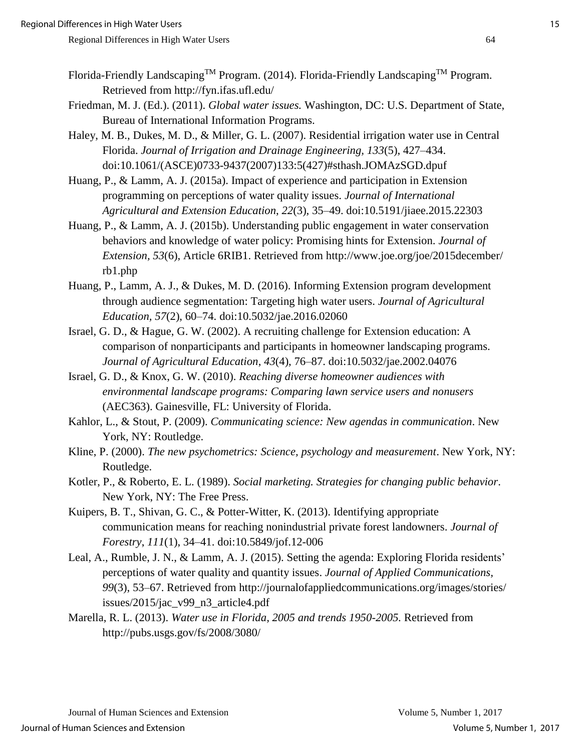- Florida-Friendly Landscaping<sup>TM</sup> Program. (2014). Florida-Friendly Landscaping<sup>TM</sup> Program. Retrieved from http://fyn.ifas.ufl.edu/
- Friedman, M. J. (Ed.). (2011). *Global water issues.* Washington, DC: U.S. Department of State, Bureau of International Information Programs.
- Haley, M. B., Dukes, M. D., & Miller, G. L. (2007). Residential irrigation water use in Central Florida. *Journal of Irrigation and Drainage Engineering, 133*(5), 427–434. doi:10.1061/(ASCE)0733-9437(2007)133:5(427)#sthash.JOMAzSGD.dpuf
- Huang, P., & Lamm, A. J. (2015a). Impact of experience and participation in Extension programming on perceptions of water quality issues. *Journal of International Agricultural and Extension Education*, *22*(3), 35–49. doi:10.5191/jiaee.2015.22303
- Huang, P., & Lamm, A. J. (2015b). Understanding public engagement in water conservation behaviors and knowledge of water policy: Promising hints for Extension. *Journal of Extension, 53*(6), Article 6RIB1. Retrieved from http://www.joe.org/joe/2015december/ rb1.php
- Huang, P., Lamm, A. J., & Dukes, M. D. (2016). Informing Extension program development through audience segmentation: Targeting high water users. *Journal of Agricultural Education, 57*(2), 60–74. doi:10.5032/jae.2016.02060
- Israel, G. D., & Hague, G. W. (2002). A recruiting challenge for Extension education: A comparison of nonparticipants and participants in homeowner landscaping programs. *Journal of Agricultural Education*, *43*(4), 76–87. doi:10.5032/jae.2002.04076
- Israel, G. D., & Knox, G. W. (2010). *Reaching diverse homeowner audiences with environmental landscape programs: Comparing lawn service users and nonusers* (AEC363). Gainesville, FL: University of Florida.
- Kahlor, L., & Stout, P. (2009). *Communicating science: New agendas in communication*. New York, NY: Routledge.
- Kline, P. (2000). *The new psychometrics: Science, psychology and measurement*. New York, NY: Routledge.
- Kotler, P., & Roberto, E. L. (1989). *Social marketing. Strategies for changing public behavior*. New York, NY: The Free Press.
- Kuipers, B. T., Shivan, G. C., & Potter-Witter, K. (2013). Identifying appropriate communication means for reaching nonindustrial private forest landowners. *Journal of Forestry*, *111*(1), 34–41. doi:10.5849/jof.12-006
- Leal, A., Rumble, J. N., & Lamm, A. J. (2015). Setting the agenda: Exploring Florida residents' perceptions of water quality and quantity issues. *Journal of Applied Communications, 99*(3), 53–67. Retrieved from http://journalofappliedcommunications.org/images/stories/ issues/2015/jac\_v99\_n3\_article4.pdf
- Marella, R. L. (2013). *Water use in Florida, 2005 and trends 1950-2005.* Retrieved from http://pubs.usgs.gov/fs/2008/3080/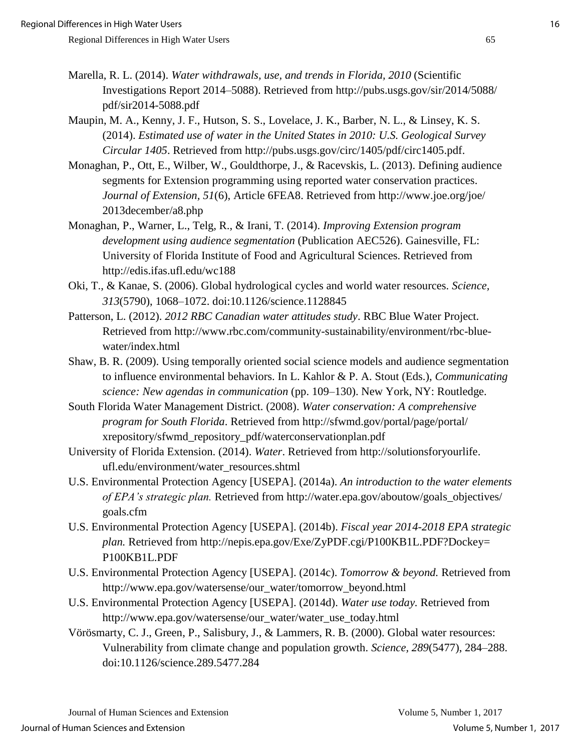- Marella, R. L. (2014). *Water withdrawals, use, and trends in Florida, 2010* (Scientific Investigations Report 2014–5088). Retrieved from http://pubs.usgs.gov/sir/2014/5088/ pdf/sir2014-5088.pdf
- Maupin, M. A., Kenny, J. F., Hutson, S. S., Lovelace, J. K., Barber, N. L., & Linsey, K. S. (2014). *Estimated use of water in the United States in 2010: U.S. Geological Survey Circular 1405*. Retrieved from http://pubs.usgs.gov/circ/1405/pdf/circ1405.pdf.
- Monaghan, P., Ott, E., Wilber, W., Gouldthorpe, J., & Racevskis, L. (2013). Defining audience segments for Extension programming using reported water conservation practices. *Journal of Extension, 51*(6), Article 6FEA8. Retrieved from http://www.joe.org/joe/ 2013december/a8.php
- Monaghan, P., Warner, L., Telg, R., & Irani, T. (2014). *Improving Extension program development using audience segmentation* (Publication AEC526). Gainesville, FL: University of Florida Institute of Food and Agricultural Sciences. Retrieved from http://edis.ifas.ufl.edu/wc188
- Oki, T., & Kanae, S. (2006). Global hydrological cycles and world water resources. *Science, 313*(5790), 1068–1072. doi:10.1126/science.1128845
- Patterson, L. (2012). *2012 RBC Canadian water attitudes study*. RBC Blue Water Project. Retrieved from http://www.rbc.com/community-sustainability/environment/rbc-bluewater/index.html
- Shaw, B. R. (2009). Using temporally oriented social science models and audience segmentation to influence environmental behaviors. In L. Kahlor & P. A. Stout (Eds.), *Communicating science: New agendas in communication* (pp. 109–130). New York, NY: Routledge.
- South Florida Water Management District. (2008). *Water conservation: A comprehensive program for South Florida*. Retrieved from http://sfwmd.gov/portal/page/portal/ xrepository/sfwmd\_repository\_pdf/waterconservationplan.pdf
- University of Florida Extension. (2014). *Water*. Retrieved from http://solutionsforyourlife. ufl.edu/environment/water\_resources.shtml
- U.S. Environmental Protection Agency [USEPA]. (2014a). *An introduction to the water elements of EPA's strategic plan.* Retrieved from http://water.epa.gov/aboutow/goals\_objectives/ goals.cfm
- U.S. Environmental Protection Agency [USEPA]. (2014b). *Fiscal year 2014-2018 EPA strategic plan.* Retrieved from http://nepis.epa.gov/Exe/ZyPDF.cgi/P100KB1L.PDF?Dockey= P100KB1L.PDF
- U.S. Environmental Protection Agency [USEPA]. (2014c). *Tomorrow & beyond.* Retrieved from http://www.epa.gov/watersense/our\_water/tomorrow\_beyond.html
- U.S. Environmental Protection Agency [USEPA]. (2014d). *Water use today.* Retrieved from http://www.epa.gov/watersense/our\_water/water\_use\_today.html
- Vörösmarty, C. J., Green, P., Salisbury, J., & Lammers, R. B. (2000). Global water resources: Vulnerability from climate change and population growth. *Science, 289*(5477), 284–288. doi:10.1126/science.289.5477.284